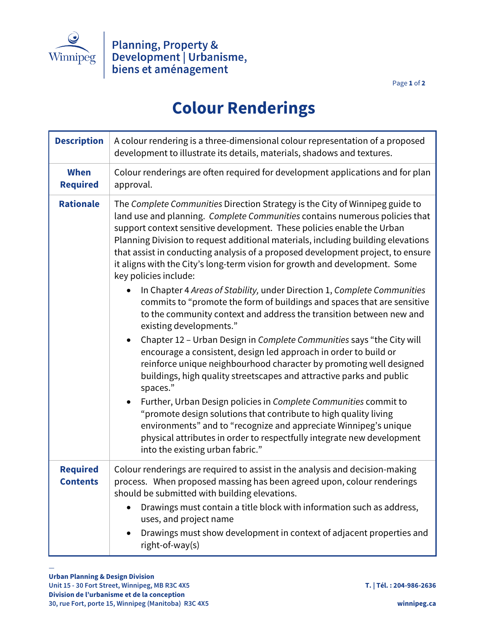

Page **1** of **2**

## **Colour Renderings**

| <b>Description</b>                 | A colour rendering is a three-dimensional colour representation of a proposed<br>development to illustrate its details, materials, shadows and textures.                                                                                                                                                                                                                                                                                                                                                                                                                                                                                                                                                                                                                                                                                                                                                                                |
|------------------------------------|-----------------------------------------------------------------------------------------------------------------------------------------------------------------------------------------------------------------------------------------------------------------------------------------------------------------------------------------------------------------------------------------------------------------------------------------------------------------------------------------------------------------------------------------------------------------------------------------------------------------------------------------------------------------------------------------------------------------------------------------------------------------------------------------------------------------------------------------------------------------------------------------------------------------------------------------|
| <b>When</b><br><b>Required</b>     | Colour renderings are often required for development applications and for plan<br>approval.                                                                                                                                                                                                                                                                                                                                                                                                                                                                                                                                                                                                                                                                                                                                                                                                                                             |
| <b>Rationale</b>                   | The Complete Communities Direction Strategy is the City of Winnipeg guide to<br>land use and planning. Complete Communities contains numerous policies that<br>support context sensitive development. These policies enable the Urban<br>Planning Division to request additional materials, including building elevations<br>that assist in conducting analysis of a proposed development project, to ensure<br>it aligns with the City's long-term vision for growth and development. Some<br>key policies include:<br>In Chapter 4 Areas of Stability, under Direction 1, Complete Communities<br>commits to "promote the form of buildings and spaces that are sensitive<br>to the community context and address the transition between new and<br>existing developments."<br>Chapter 12 - Urban Design in Complete Communities says "the City will<br>$\bullet$<br>encourage a consistent, design led approach in order to build or |
|                                    | reinforce unique neighbourhood character by promoting well designed<br>buildings, high quality streetscapes and attractive parks and public<br>spaces."<br>Further, Urban Design policies in Complete Communities commit to<br>$\bullet$<br>"promote design solutions that contribute to high quality living<br>environments" and to "recognize and appreciate Winnipeg's unique<br>physical attributes in order to respectfully integrate new development<br>into the existing urban fabric."                                                                                                                                                                                                                                                                                                                                                                                                                                          |
| <b>Required</b><br><b>Contents</b> | Colour renderings are required to assist in the analysis and decision-making<br>process. When proposed massing has been agreed upon, colour renderings<br>should be submitted with building elevations.<br>Drawings must contain a title block with information such as address,<br>uses, and project name<br>Drawings must show development in context of adjacent properties and<br>$\bullet$<br>right-of-way(s)                                                                                                                                                                                                                                                                                                                                                                                                                                                                                                                      |

—